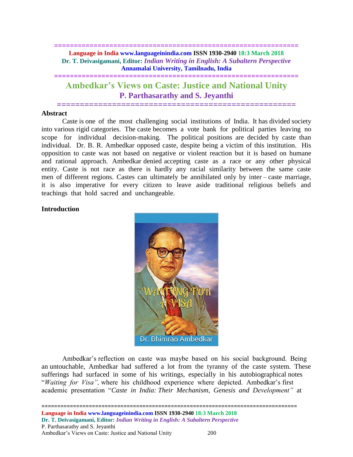# **============================================================== Language in India www.languageinindia.com ISSN 1930-2940 18:3 March 2018 Dr. T. Deivasigamani, Editor:** *Indian Writing in English: A Subaltern Perspective* **Annamalai University, Tamilnadu, India**

# **Ambedkar's Views on Caste: Justice and National Unity P. Parthasarathy and S. Jeyanthi**

**====================================================**

**==============================================================**

## **Abstract**

Caste is one of the most challenging social institutions of India. It has divided society into various rigid categories. The caste becomes a vote bank for political parties leaving no scope for individual decision-making. The political positions are decided by caste than individual. Dr. B. R. Ambedkar opposed caste, despite being a victim of this institution. His opposition to caste was not based on negative or violent reaction but it is based on humane and rational approach. Ambedkar denied accepting caste as a race or any other physical entity. Caste is not race as there is hardly any racial similarity between the same caste men of different regions. Castes can ultimately be annihilated only by inter – caste marriage, it is also imperative for every citizen to leave aside traditional religious beliefs and teachings that hold sacred and unchangeable.

## **Introduction**



Ambedkar's reflection on caste was maybe based on his social background. Being an untouchable, Ambedkar had suffered a lot from the tyranny of the caste system. These sufferings had surfaced in some of his writings, especially in his autobiographical notes "*Waiting for Visa",* where his childhood experience where depicted. Ambedkar's first academic presentation "*Caste in India: Their Mechanism, Genesis and Development"* at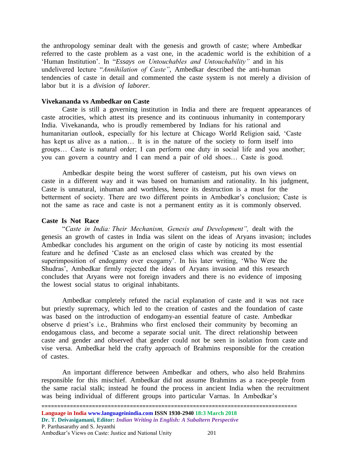the anthropology seminar dealt with the genesis and growth of caste; where Ambedkar referred to the caste problem as a vast one, in the academic world is the exhibition of a 'Human Institution'. In "*Essays on Untouchables and Untouchability"* and in his undelivered lecture "*Annihilation of Caste"*, Ambedkar described the anti-human tendencies of caste in detail and commented the caste system is not merely a division of labor but it is a *division of laborer.*

## **Vivekananda vs Ambedkar on Caste**

Caste is still a governing institution in India and there are frequent appearances of caste atrocities, which attest its presence and its continuous inhumanity in contemporary India. Vivekananda, who is proudly remembered by Indians for his rational and humanitarian outlook, especially for his lecture at Chicago World Religion said, 'Caste has kept us alive as a nation... It is in the nature of the society to form itself into groups… Caste is natural order; I can perform one duty in social life and you another; you can govern a country and I can mend a pair of old shoes… Caste is good.

Ambedkar despite being the worst sufferer of casteism, put his own views on caste in a different way and it was based on humanism and rationality. In his judgment, Caste is unnatural, inhuman and worthless, hence its destruction is a must for the betterment of society. There are two different points in Ambedkar's conclusion; Caste is not the same as race and caste is not a permanent entity as it is commonly observed.

#### **Caste Is Not Race**

"*Caste in India: Their Mechanism, Genesis and Development",* dealt with the genesis an growth of castes in India was silent on the ideas of Aryans invasion; includes Ambedkar concludes his argument on the origin of caste by noticing its most essential feature and he defined 'Caste as an enclosed class which was created by the superimposition of endogamy over exogamy'. In his later writing, 'Who Were the Shudras', Ambedkar firmly rejected the ideas of Aryans invasion and this research concludes that Aryans were not foreign invaders and there is no evidence of imposing the lowest social status to original inhabitants.

Ambedkar completely refuted the racial explanation of caste and it was not race but priestly supremacy, which led to the creation of castes and the foundation of caste was based on the introduction of endogamy-an essential feature of caste. Ambedkar observe d priest's i.e., Brahmins who first enclosed their community by becoming an endogamous class, and become a separate social unit. The direct relationship between caste and gender and observed that gender could not be seen in isolation from caste and vise versa. Ambedkar held the crafty approach of Brahmins responsible for the creation of castes.

An important difference between Ambedkar and others, who also held Brahmins responsible for this mischief. Ambedkar did not assume Brahmins as a race-people from the same racial stalk; instead he found the process in ancient India when the recruitment was being individual of different groups into particular Varnas. In Ambedkar's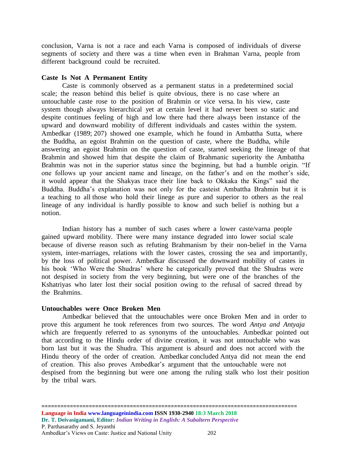conclusion, Varna is not a race and each Varna is composed of individuals of diverse segments of society and there was a time when even in Brahman Varna, people from different background could be recruited.

## **Caste Is Not A Permanent Entity**

Caste is commonly observed as a permanent status in a predetermined social scale; the reason behind this belief is quite obvious, there is no case where an untouchable caste rose to the position of Brahmin or vice versa. In his view, caste system though always hierarchical yet at certain level it had never been so static and despite continues feeling of high and low there had there always been instance of the upward and downward mobility of different individuals and castes within the system. Ambedkar (1989; 207) showed one example, which he found in Ambattha Sutta, where the Buddha, an egoist Brahmin on the question of caste, where the Buddha, while answering an egoist Brahmin on the question of caste, started seeking the lineage of that Brahmin and showed him that despite the claim of Brahmanic superiority the Ambattha Brahmin was not in the superior status since the beginning, but had a humble origin. "If one follows up your ancient name and lineage, on the father's and on the mother's side, it would appear that the Shakyas trace their line back to Okkaka the Kings" said the Buddha. Buddha's explanation was not only for the casteist Ambattha Brahmin but it is a teaching to all those who hold their linege as pure and superior to others as the real lineage of any individual is hardly possible to know and such belief is nothing but a notion.

Indian history has a number of such cases where a lower caste/varna people gained upward mobility. There were many instance degraded into lower social scale because of diverse reason such as refuting Brahmanism by their non-belief in the Varna system, inter-marriages, relations with the lower castes, crossing the sea and importantly, by the loss of political power. Ambedkar discussed the downward mobility of castes in his book 'Who Were the Shudras' where he categorically proved that the Shudras were not despised in society from the very beginning, but were one of the branches of the Kshatriyas who later lost their social position owing to the refusal of sacred thread by the Brahmins.

## **Untouchables were Once Broken Men**

Ambedkar believed that the untouchables were once Broken Men and in order to prove this argument he took references from two sources. The word *Antya and Antyaja*  which are frequently referred to as synonyms of the untouchables. Ambedkar pointed out that according to the Hindu order of divine creation, it was not untouchable who was born last but it was the Shudra. This argument is absurd and does not accord with the Hindu theory of the order of creation. Ambedkar concluded Antya did not mean the end of creation. This also proves Ambedkar's argument that the untouchable were not despised from the beginning but were one among the ruling stalk who lost their position by the tribal wars.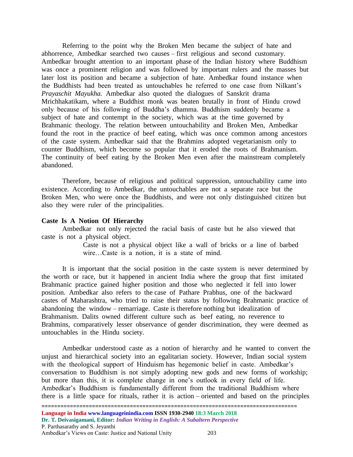Referring to the point why the Broken Men became the subject of hate and abhorrence, Ambedkar searched two causes – first religious and second customary. Ambedkar brought attention to an important phase of the Indian history where Buddhism was once a prominent religion and was followed by important rulers and the masses but later lost its position and became a subjection of hate. Ambedkar found instance when the Buddhists had been treated as untouchables he referred to one case from Nilkant's *Prayaschit Mayukha.* Ambedkar also quoted the dialogues of Sanskrit drama Mrichhakatikam, where a Buddhist monk was beaten brutally in front of Hindu crowd only because of his following of Buddha's dhamma. Buddhism suddenly became a subject of hate and contempt in the society, which was at the time governed by Brahmanic theology. The relation between untouchability and Broken Men, Ambedkar found the root in the practice of beef eating, which was once common among ancestors of the caste system. Ambedkar said that the Brahmins adopted vegetarianism only to counter Buddhism, which become so popular that it eroded the roots of Brahmanism. The continuity of beef eating by the Broken Men even after the mainstream completely abandoned.

Therefore, because of religious and political suppression, untouchability came into existence. According to Ambedkar, the untouchables are not a separate race but the Broken Men, who were once the Buddhists, and were not only distinguished citizen but also they were ruler of the principalities.

## **Caste Is A Notion Of Hierarchy**

Ambedkar not only rejected the racial basis of caste but he also viewed that caste is not a physical object.

> Caste is not a physical object like a wall of bricks or a line of barbed wire…Caste is a notion, it is a state of mind.

It is important that the social position in the caste system is never determined by the worth or race, but it happened in ancient India where the group that first imitated Brahmanic practice gained higher position and those who neglected it fell into lower position. Ambedkar also refers to the case of Pathare Prabhus, one of the backward castes of Maharashtra, who tried to raise their status by following Brahmanic practice of abandoning the window – remarriage. Caste is therefore nothing but idealization of Brahmanism. Dalits owned different culture such as beef eating, no reverence to Brahmins, comparatively lesser observance of gender discrimination, they were deemed as untouchables in the Hindu society.

Ambedkar understood caste as a notion of hierarchy and he wanted to convert the unjust and hierarchical society into an egalitarian society. However, Indian social system with the theological support of Hinduism has hegemonic belief in caste. Ambedkar's conversation to Buddhism is not simply adopting new gods and new forms of workship; but more than this, it is complete change in one's outlook in every field of life. Ambedkar's Buddhism is fundamentally different from the traditional Buddhism where there is a little space for rituals, rather it is action – oriented and based on the principles